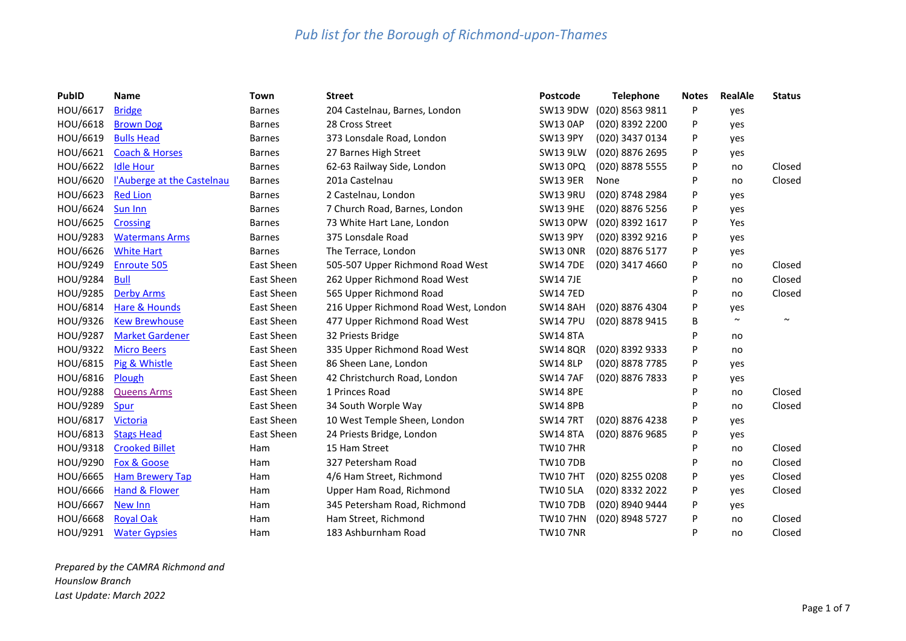| <b>PubID</b> | <b>Name</b>                | Town          | <b>Street</b>                        | Postcode        | <b>Telephone</b> | <b>Notes</b> | <b>RealAle</b> | <b>Status</b> |
|--------------|----------------------------|---------------|--------------------------------------|-----------------|------------------|--------------|----------------|---------------|
| HOU/6617     | <b>Bridge</b>              | <b>Barnes</b> | 204 Castelnau, Barnes, London        | SW13 9DW        | (020) 8563 9811  | P            | yes            |               |
| HOU/6618     | <b>Brown Dog</b>           | <b>Barnes</b> | 28 Cross Street                      | <b>SW13 0AP</b> | (020) 8392 2200  | P            | yes            |               |
| HOU/6619     | <b>Bulls Head</b>          | <b>Barnes</b> | 373 Lonsdale Road, London            | <b>SW13 9PY</b> | (020) 3437 0134  | P            | yes            |               |
| HOU/6621     | <b>Coach &amp; Horses</b>  | <b>Barnes</b> | 27 Barnes High Street                | <b>SW13 9LW</b> | (020) 8876 2695  | P            | yes            |               |
| HOU/6622     | <b>Idle Hour</b>           | <b>Barnes</b> | 62-63 Railway Side, London           | SW13 0PQ        | (020) 8878 5555  | P            | no             | Closed        |
| HOU/6620     | l'Auberge at the Castelnau | <b>Barnes</b> | 201a Castelnau                       | <b>SW13 9ER</b> | None             | P            | no             | Closed        |
| HOU/6623     | <b>Red Lion</b>            | <b>Barnes</b> | 2 Castelnau, London                  | <b>SW13 9RU</b> | (020) 8748 2984  | P            | yes            |               |
| HOU/6624     | Sun Inn                    | <b>Barnes</b> | 7 Church Road, Barnes, London        | <b>SW13 9HE</b> | (020) 8876 5256  | P            | yes            |               |
| HOU/6625     | <b>Crossing</b>            | <b>Barnes</b> | 73 White Hart Lane, London           | <b>SW13 OPW</b> | (020) 8392 1617  | P            | Yes            |               |
| HOU/9283     | <b>Watermans Arms</b>      | <b>Barnes</b> | 375 Lonsdale Road                    | <b>SW13 9PY</b> | (020) 8392 9216  | P            | yes            |               |
| HOU/6626     | <b>White Hart</b>          | <b>Barnes</b> | The Terrace, London                  | <b>SW13 ONR</b> | (020) 8876 5177  | P            | yes            |               |
| HOU/9249     | <b>Enroute 505</b>         | East Sheen    | 505-507 Upper Richmond Road West     | <b>SW14 7DE</b> | (020) 3417 4660  | P            | no             | Closed        |
| HOU/9284     | <b>Bull</b>                | East Sheen    | 262 Upper Richmond Road West         | <b>SW14 7JE</b> |                  | P            | no             | Closed        |
| HOU/9285     | <b>Derby Arms</b>          | East Sheen    | 565 Upper Richmond Road              | <b>SW14 7ED</b> |                  | P            | no             | Closed        |
| HOU/6814     | Hare & Hounds              | East Sheen    | 216 Upper Richmond Road West, London | <b>SW14 8AH</b> | (020) 8876 4304  | P            | yes            |               |
| HOU/9326     | <b>Kew Brewhouse</b>       | East Sheen    | 477 Upper Richmond Road West         | <b>SW14 7PU</b> | (020) 8878 9415  | B            | $\sim$         | $\sim$        |
| HOU/9287     | <b>Market Gardener</b>     | East Sheen    | 32 Priests Bridge                    | <b>SW14 8TA</b> |                  | P            | no             |               |
| HOU/9322     | <b>Micro Beers</b>         | East Sheen    | 335 Upper Richmond Road West         | <b>SW14 8QR</b> | (020) 8392 9333  | P            | no             |               |
| HOU/6815     | Pig & Whistle              | East Sheen    | 86 Sheen Lane, London                | <b>SW14 8LP</b> | (020) 8878 7785  | P            | yes            |               |
| HOU/6816     | Plough                     | East Sheen    | 42 Christchurch Road, London         | <b>SW14 7AF</b> | (020) 8876 7833  | P            | yes            |               |
| HOU/9288     | <b>Queens Arms</b>         | East Sheen    | 1 Princes Road                       | <b>SW14 8PE</b> |                  | P            | no             | Closed        |
| HOU/9289     | Spur                       | East Sheen    | 34 South Worple Way                  | <b>SW14 8PB</b> |                  | P            | no             | Closed        |
| HOU/6817     | <b>Victoria</b>            | East Sheen    | 10 West Temple Sheen, London         | <b>SW14 7RT</b> | (020) 8876 4238  | P            | yes            |               |
| HOU/6813     | <b>Stags Head</b>          | East Sheen    | 24 Priests Bridge, London            | <b>SW14 8TA</b> | (020) 8876 9685  | P            | yes            |               |
| HOU/9318     | <b>Crooked Billet</b>      | Ham           | 15 Ham Street                        | <b>TW107HR</b>  |                  | P            | no             | Closed        |
| HOU/9290     | Fox & Goose                | Ham           | 327 Petersham Road                   | <b>TW107DB</b>  |                  | P            | no             | Closed        |
| HOU/6665     | <b>Ham Brewery Tap</b>     | Ham           | 4/6 Ham Street, Richmond             | <b>TW107HT</b>  | (020) 8255 0208  | P            | yes            | Closed        |
| HOU/6666     | Hand & Flower              | Ham           | Upper Ham Road, Richmond             | <b>TW10 5LA</b> | (020) 8332 2022  | P            | yes            | Closed        |
| HOU/6667     | New Inn                    | Ham           | 345 Petersham Road, Richmond         | <b>TW107DB</b>  | (020) 8940 9444  | P            | yes            |               |
| HOU/6668     | <b>Royal Oak</b>           | Ham           | Ham Street, Richmond                 | <b>TW107HN</b>  | (020) 8948 5727  | P            | no             | Closed        |
| HOU/9291     | <b>Water Gypsies</b>       | Ham           | 183 Ashburnham Road                  | <b>TW10 7NR</b> |                  | P            | no             | Closed        |

*Prepared by the CAMRA Richmond and Hounslow Branch Last Update: March 2022*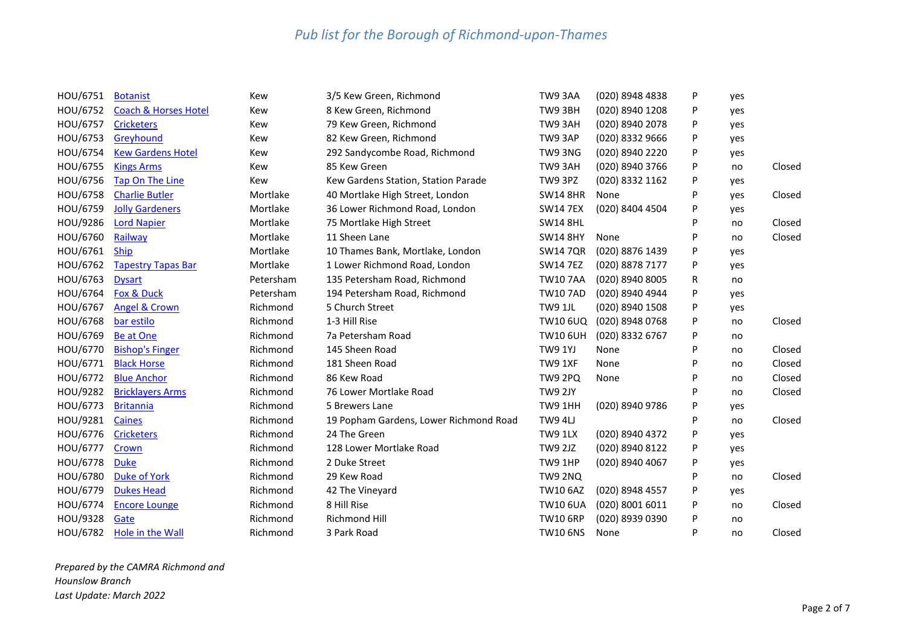| HOU/6751 | <b>Botanist</b>                 | Kew       | 3/5 Kew Green, Richmond                | TW93AA          | (020) 8948 4838 | P | yes |        |
|----------|---------------------------------|-----------|----------------------------------------|-----------------|-----------------|---|-----|--------|
| HOU/6752 | <b>Coach &amp; Horses Hotel</b> | Kew       | 8 Kew Green, Richmond                  | TW9 3BH         | (020) 8940 1208 | P | yes |        |
| HOU/6757 | <b>Cricketers</b>               | Kew       | 79 Kew Green, Richmond                 | TW93AH          | (020) 8940 2078 | P | yes |        |
| HOU/6753 | Greyhound                       | Kew       | 82 Kew Green, Richmond                 | TW93AP          | (020) 8332 9666 | P | yes |        |
| HOU/6754 | <b>Kew Gardens Hotel</b>        | Kew       | 292 Sandycombe Road, Richmond          | TW93NG          | (020) 8940 2220 | P | yes |        |
| HOU/6755 | <b>Kings Arms</b>               | Kew       | 85 Kew Green                           | TW93AH          | (020) 8940 3766 | P | no  | Closed |
| HOU/6756 | Tap On The Line                 | Kew       | Kew Gardens Station, Station Parade    | TW9 3PZ         | (020) 8332 1162 | P | yes |        |
| HOU/6758 | <b>Charlie Butler</b>           | Mortlake  | 40 Mortlake High Street, London        | <b>SW14 8HR</b> | None            | P | yes | Closed |
| HOU/6759 | <b>Jolly Gardeners</b>          | Mortlake  | 36 Lower Richmond Road, London         | <b>SW14 7EX</b> | (020) 8404 4504 | P | yes |        |
| HOU/9286 | <b>Lord Napier</b>              | Mortlake  | 75 Mortlake High Street                | <b>SW14 8HL</b> |                 | P | no  | Closed |
| HOU/6760 | Railway                         | Mortlake  | 11 Sheen Lane                          | <b>SW14 8HY</b> | None            | P | no  | Closed |
| HOU/6761 | <b>Ship</b>                     | Mortlake  | 10 Thames Bank, Mortlake, London       | <b>SW14 7QR</b> | (020) 8876 1439 | P | yes |        |
| HOU/6762 | <b>Tapestry Tapas Bar</b>       | Mortlake  | 1 Lower Richmond Road, London          | <b>SW14 7EZ</b> | (020) 8878 7177 | P | yes |        |
| HOU/6763 | <b>Dysart</b>                   | Petersham | 135 Petersham Road, Richmond           | <b>TW107AA</b>  | (020) 8940 8005 | R | no  |        |
| HOU/6764 | Fox & Duck                      | Petersham | 194 Petersham Road, Richmond           | <b>TW107AD</b>  | (020) 8940 4944 | P | yes |        |
| HOU/6767 | Angel & Crown                   | Richmond  | 5 Church Street                        | TW9 1JL         | (020) 8940 1508 | P | yes |        |
| HOU/6768 | bar estilo                      | Richmond  | 1-3 Hill Rise                          | TW10 6UQ        | (020) 8948 0768 | P | no  | Closed |
| HOU/6769 | Be at One                       | Richmond  | 7a Petersham Road                      | <b>TW10 6UH</b> | (020) 8332 6767 | P | no  |        |
| HOU/6770 | <b>Bishop's Finger</b>          | Richmond  | 145 Sheen Road                         | <b>TW9 1YJ</b>  | None            | P | no  | Closed |
| HOU/6771 | <b>Black Horse</b>              | Richmond  | 181 Sheen Road                         | TW9 1XF         | None            | P | no  | Closed |
| HOU/6772 | <b>Blue Anchor</b>              | Richmond  | 86 Kew Road                            | <b>TW9 2PQ</b>  | None            | P | no  | Closed |
| HOU/9282 | <b>Bricklayers Arms</b>         | Richmond  | 76 Lower Mortlake Road                 | TW9 2JY         |                 | P | no  | Closed |
| HOU/6773 | <b>Britannia</b>                | Richmond  | 5 Brewers Lane                         | TW9 1HH         | (020) 8940 9786 | P | yes |        |
| HOU/9281 | <b>Caines</b>                   | Richmond  | 19 Popham Gardens, Lower Richmond Road | TW9 4LJ         |                 | P | no  | Closed |
| HOU/6776 | <b>Cricketers</b>               | Richmond  | 24 The Green                           | TW9 1LX         | (020) 8940 4372 | P | yes |        |
| HOU/6777 | Crown                           | Richmond  | 128 Lower Mortlake Road                | <b>TW9 2JZ</b>  | (020) 8940 8122 | P | yes |        |
| HOU/6778 | <b>Duke</b>                     | Richmond  | 2 Duke Street                          | TW9 1HP         | (020) 8940 4067 | P | yes |        |
| HOU/6780 | <b>Duke of York</b>             | Richmond  | 29 Kew Road                            | <b>TW9 2NQ</b>  |                 | P | no  | Closed |
| HOU/6779 | <b>Dukes Head</b>               | Richmond  | 42 The Vineyard                        | <b>TW10 6AZ</b> | (020) 8948 4557 | P | yes |        |
| HOU/6774 | <b>Encore Lounge</b>            | Richmond  | 8 Hill Rise                            | <b>TW10 6UA</b> | (020) 8001 6011 | P | no  | Closed |
| HOU/9328 | Gate                            | Richmond  | Richmond Hill                          | <b>TW10 6RP</b> | (020) 8939 0390 | P | no  |        |
| HOU/6782 | Hole in the Wall                | Richmond  | 3 Park Road                            | <b>TW10 6NS</b> | None            | P | no  | Closed |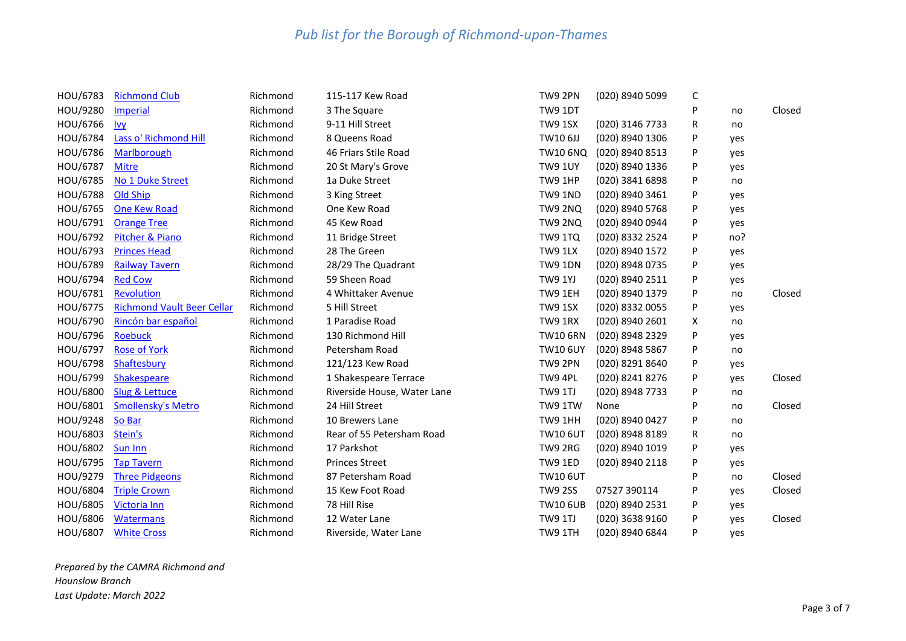| HOU/6783 | <b>Richmond Club</b>              | Richmond | 115-117 Kew Road            | TW9 2PN         | (020) 8940 5099 | C |     |        |
|----------|-----------------------------------|----------|-----------------------------|-----------------|-----------------|---|-----|--------|
| HOU/9280 | <b>Imperial</b>                   | Richmond | 3 The Square                | TW9 1DT         |                 | P | no  | Closed |
| HOU/6766 | $lvy$                             | Richmond | 9-11 Hill Street            | <b>TW9 1SX</b>  | (020) 3146 7733 | R | no  |        |
| HOU/6784 | Lass o' Richmond Hill             | Richmond | 8 Queens Road               | TW10 6JJ        | (020) 8940 1306 | P | yes |        |
| HOU/6786 | Marlborough                       | Richmond | 46 Friars Stile Road        | <b>TW10 6NQ</b> | (020) 8940 8513 | P | yes |        |
| HOU/6787 | <b>Mitre</b>                      | Richmond | 20 St Mary's Grove          | <b>TW9 1UY</b>  | (020) 8940 1336 | P | yes |        |
| HOU/6785 | No 1 Duke Street                  | Richmond | 1a Duke Street              | TW9 1HP         | (020) 3841 6898 | P | no  |        |
| HOU/6788 | Old Ship                          | Richmond | 3 King Street               | <b>TW9 1ND</b>  | (020) 8940 3461 | P | yes |        |
| HOU/6765 | <b>One Kew Road</b>               | Richmond | One Kew Road                | <b>TW9 2NQ</b>  | (020) 8940 5768 | P | yes |        |
| HOU/6791 | <b>Orange Tree</b>                | Richmond | 45 Kew Road                 | <b>TW9 2NQ</b>  | (020) 8940 0944 | P | yes |        |
| HOU/6792 | Pitcher & Piano                   | Richmond | 11 Bridge Street            | <b>TW9 1TQ</b>  | (020) 8332 2524 | P | no? |        |
| HOU/6793 | <b>Princes Head</b>               | Richmond | 28 The Green                | TW9 1LX         | (020) 8940 1572 | P | yes |        |
| HOU/6789 | Railway Tavern                    | Richmond | 28/29 The Quadrant          | <b>TW9 1DN</b>  | (020) 8948 0735 | P | yes |        |
| HOU/6794 | <b>Red Cow</b>                    | Richmond | 59 Sheen Road               | <b>TW9 1YJ</b>  | (020) 8940 2511 | P | yes |        |
| HOU/6781 | Revolution                        | Richmond | 4 Whittaker Avenue          | TW9 1EH         | (020) 8940 1379 | P | no  | Closed |
| HOU/6775 | <b>Richmond Vault Beer Cellar</b> | Richmond | 5 Hill Street               | <b>TW9 1SX</b>  | (020) 8332 0055 | P | yes |        |
| HOU/6790 | Rincón bar español                | Richmond | 1 Paradise Road             | TW9 1RX         | (020) 8940 2601 | Χ | no  |        |
| HOU/6796 | <b>Roebuck</b>                    | Richmond | 130 Richmond Hill           | <b>TW10 6RN</b> | (020) 8948 2329 | P | yes |        |
| HOU/6797 | <b>Rose of York</b>               | Richmond | Petersham Road              | <b>TW10 6UY</b> | (020) 8948 5867 | P | no  |        |
| HOU/6798 | Shaftesbury                       | Richmond | 121/123 Kew Road            | TW9 2PN         | (020) 8291 8640 | P | yes |        |
| HOU/6799 | Shakespeare                       | Richmond | 1 Shakespeare Terrace       | TW9 4PL         | (020) 8241 8276 | P | yes | Closed |
| HOU/6800 | Slug & Lettuce                    | Richmond | Riverside House, Water Lane | TW9 1TJ         | (020) 8948 7733 | P | no  |        |
| HOU/6801 | <b>Smollensky's Metro</b>         | Richmond | 24 Hill Street              | TW9 1TW         | None            | P | no  | Closed |
| HOU/9248 | So Bar                            | Richmond | 10 Brewers Lane             | TW9 1HH         | (020) 8940 0427 | P | no  |        |
| HOU/6803 | Stein's                           | Richmond | Rear of 55 Petersham Road   | <b>TW10 6UT</b> | (020) 8948 8189 | R | no  |        |
| HOU/6802 | Sun Inn                           | Richmond | 17 Parkshot                 | TW9 2RG         | (020) 8940 1019 | P | yes |        |
| HOU/6795 | <b>Tap Tavern</b>                 | Richmond | <b>Princes Street</b>       | TW9 1ED         | (020) 8940 2118 | P | yes |        |
| HOU/9279 | <b>Three Pidgeons</b>             | Richmond | 87 Petersham Road           | <b>TW10 6UT</b> |                 | P | no  | Closed |
| HOU/6804 | <b>Triple Crown</b>               | Richmond | 15 Kew Foot Road            | <b>TW9 2SS</b>  | 07527 390114    | P | yes | Closed |
| HOU/6805 | Victoria Inn                      | Richmond | 78 Hill Rise                | <b>TW10 6UB</b> | (020) 8940 2531 | P | yes |        |
| HOU/6806 | <b>Watermans</b>                  | Richmond | 12 Water Lane               | TW9 1TJ         | (020) 3638 9160 | P | yes | Closed |
| HOU/6807 | <b>White Cross</b>                | Richmond | Riverside, Water Lane       | TW9 1TH         | (020) 8940 6844 | P | yes |        |

*Prepared by the CAMRA Richmond and Hounslow Branch Last Update: March 2022*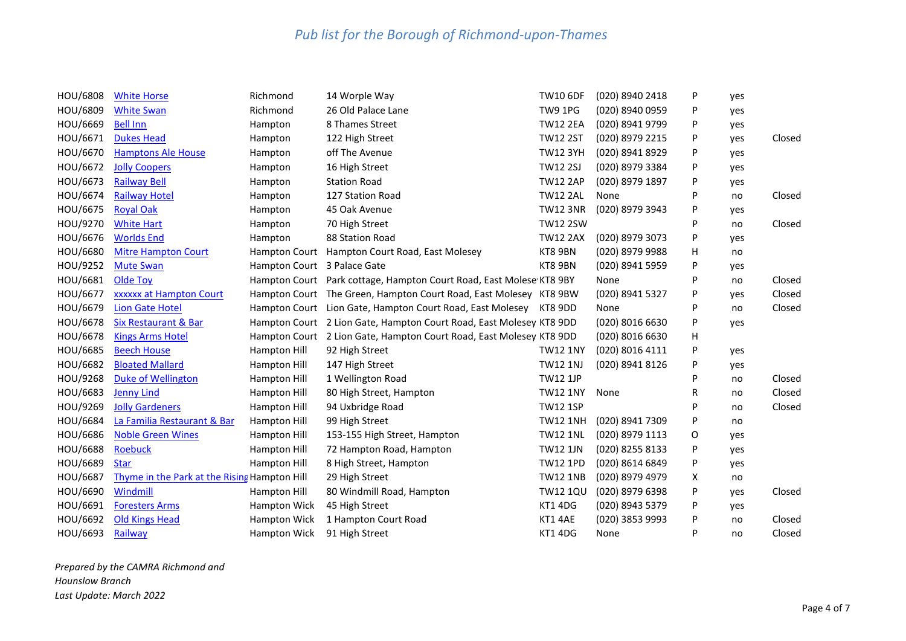| HOU/6808 | <b>White Horse</b>                           | Richmond                    | 14 Worple Way                                                       | <b>TW10 6DF</b> | (020) 8940 2418 | P | yes |        |
|----------|----------------------------------------------|-----------------------------|---------------------------------------------------------------------|-----------------|-----------------|---|-----|--------|
| HOU/6809 | <b>White Swan</b>                            | Richmond                    | 26 Old Palace Lane                                                  | TW9 1PG         | (020) 8940 0959 | P | yes |        |
| HOU/6669 | <b>Bell Inn</b>                              | Hampton                     | 8 Thames Street                                                     | <b>TW12 2EA</b> | (020) 8941 9799 | P | yes |        |
| HOU/6671 | <b>Dukes Head</b>                            | Hampton                     | 122 High Street                                                     | <b>TW12 2ST</b> | (020) 8979 2215 | P | yes | Closed |
| HOU/6670 | <b>Hamptons Ale House</b>                    | Hampton                     | off The Avenue                                                      | <b>TW12 3YH</b> | (020) 8941 8929 | P | yes |        |
| HOU/6672 | <b>Jolly Coopers</b>                         | Hampton                     | 16 High Street                                                      | <b>TW12 2SJ</b> | (020) 8979 3384 | P | yes |        |
| HOU/6673 | <b>Railway Bell</b>                          | Hampton                     | <b>Station Road</b>                                                 | <b>TW12 2AP</b> | (020) 8979 1897 | P | yes |        |
| HOU/6674 | <b>Railway Hotel</b>                         | Hampton                     | 127 Station Road                                                    | <b>TW12 2AL</b> | None            | P | no  | Closed |
| HOU/6675 | <b>Royal Oak</b>                             | Hampton                     | 45 Oak Avenue                                                       | <b>TW12 3NR</b> | (020) 8979 3943 | P | yes |        |
| HOU/9270 | <b>White Hart</b>                            | Hampton                     | 70 High Street                                                      | <b>TW12 2SW</b> |                 | P | no  | Closed |
| HOU/6676 | <b>Worlds End</b>                            | Hampton                     | 88 Station Road                                                     | <b>TW12 2AX</b> | (020) 8979 3073 | P | yes |        |
| HOU/6680 | <b>Mitre Hampton Court</b>                   |                             | Hampton Court Hampton Court Road, East Molesey                      | KT8 9BN         | (020) 8979 9988 | н | no  |        |
| HOU/9252 | <b>Mute Swan</b>                             | Hampton Court 3 Palace Gate |                                                                     | KT8 9BN         | (020) 8941 5959 | P | yes |        |
| HOU/6681 | Olde Toy                                     |                             | Hampton Court Park cottage, Hampton Court Road, East Molese KT8 9BY |                 | None            | P | no  | Closed |
| HOU/6677 | xxxxxx at Hampton Court                      |                             | Hampton Court The Green, Hampton Court Road, East Molesey KT8 9BW   |                 | (020) 8941 5327 | P | yes | Closed |
| HOU/6679 | Lion Gate Hotel                              |                             | Hampton Court Lion Gate, Hampton Court Road, East Molesey KT8 9DD   |                 | None            | P | no  | Closed |
| HOU/6678 | <b>Six Restaurant &amp; Bar</b>              |                             | Hampton Court 2 Lion Gate, Hampton Court Road, East Molesey KT8 9DD |                 | (020) 8016 6630 | P | yes |        |
| HOU/6678 | <b>Kings Arms Hotel</b>                      |                             | Hampton Court 2 Lion Gate, Hampton Court Road, East Molesey KT8 9DD |                 | (020) 8016 6630 | н |     |        |
| HOU/6685 | <b>Beech House</b>                           | Hampton Hill                | 92 High Street                                                      | <b>TW12 1NY</b> | (020) 8016 4111 | P | yes |        |
| HOU/6682 | <b>Bloated Mallard</b>                       | Hampton Hill                | 147 High Street                                                     | <b>TW12 1NJ</b> | (020) 8941 8126 | P | yes |        |
| HOU/9268 | <b>Duke of Wellington</b>                    | Hampton Hill                | 1 Wellington Road                                                   | <b>TW12 1JP</b> |                 | P | no  | Closed |
| HOU/6683 | <b>Jenny Lind</b>                            | Hampton Hill                | 80 High Street, Hampton                                             | <b>TW12 1NY</b> | None            | R | no  | Closed |
| HOU/9269 | <b>Jolly Gardeners</b>                       | Hampton Hill                | 94 Uxbridge Road                                                    | <b>TW12 1SP</b> |                 | P | no  | Closed |
| HOU/6684 | La Familia Restaurant & Bar                  | Hampton Hill                | 99 High Street                                                      | <b>TW12 1NH</b> | (020) 8941 7309 | P | no  |        |
| HOU/6686 | <b>Noble Green Wines</b>                     | Hampton Hill                | 153-155 High Street, Hampton                                        | <b>TW12 1NL</b> | (020) 8979 1113 | O | yes |        |
| HOU/6688 | <b>Roebuck</b>                               | Hampton Hill                | 72 Hampton Road, Hampton                                            | <b>TW12 1JN</b> | (020) 8255 8133 | P | yes |        |
| HOU/6689 | <b>Star</b>                                  | Hampton Hill                | 8 High Street, Hampton                                              | <b>TW12 1PD</b> | (020) 8614 6849 | P | yes |        |
| HOU/6687 | Thyme in the Park at the Rising Hampton Hill |                             | 29 High Street                                                      | <b>TW12 1NB</b> | (020) 8979 4979 | X | no  |        |
| HOU/6690 | Windmill                                     | Hampton Hill                | 80 Windmill Road, Hampton                                           | <b>TW12 1QU</b> | (020) 8979 6398 | P | yes | Closed |
| HOU/6691 | <b>Foresters Arms</b>                        | Hampton Wick                | 45 High Street                                                      | KT1 4DG         | (020) 8943 5379 | P | yes |        |
| HOU/6692 | <b>Old Kings Head</b>                        | Hampton Wick                | 1 Hampton Court Road                                                | KT1 4AE         | (020) 3853 9993 | P | no  | Closed |
| HOU/6693 | Railway                                      | Hampton Wick                | 91 High Street                                                      | KT1 4DG         | None            | p | no  | Closed |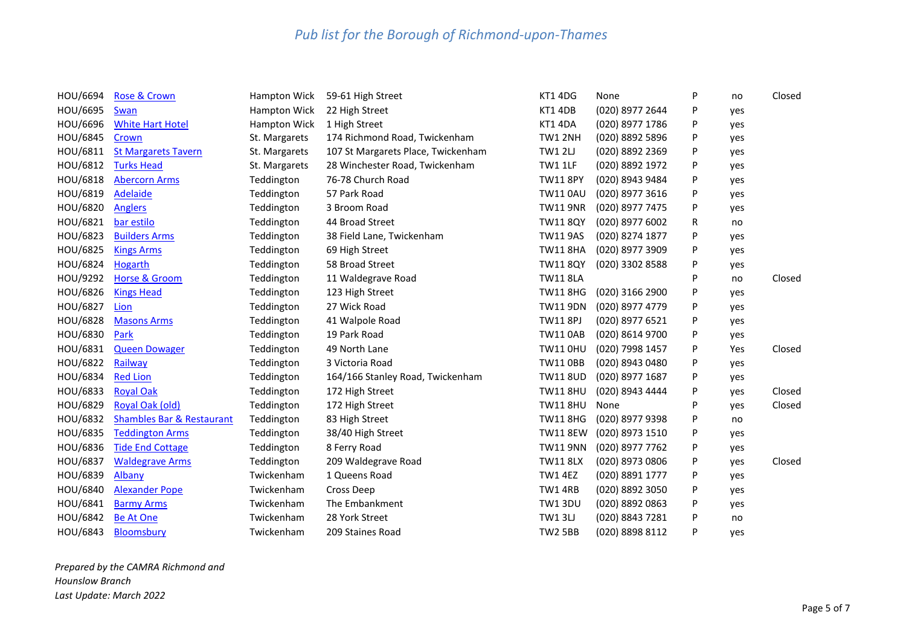| HOU/6694 | Rose & Crown                         | Hampton Wick        | 59-61 High Street                  | KT1 4DG         | None            | P | no  | Closed |
|----------|--------------------------------------|---------------------|------------------------------------|-----------------|-----------------|---|-----|--------|
| HOU/6695 | Swan                                 | <b>Hampton Wick</b> | 22 High Street                     | KT1 4DB         | (020) 8977 2644 | P | yes |        |
| HOU/6696 | <b>White Hart Hotel</b>              | <b>Hampton Wick</b> | 1 High Street                      | KT1 4DA         | (020) 8977 1786 | P | yes |        |
| HOU/6845 | Crown                                | St. Margarets       | 174 Richmond Road, Twickenham      | TW1 2NH         | (020) 8892 5896 | P | yes |        |
| HOU/6811 | <b>St Margarets Tavern</b>           | St. Margarets       | 107 St Margarets Place, Twickenham | <b>TW1 2LJ</b>  | (020) 8892 2369 | P | yes |        |
| HOU/6812 | <b>Turks Head</b>                    | St. Margarets       | 28 Winchester Road, Twickenham     | <b>TW1 1LF</b>  | (020) 8892 1972 | P | yes |        |
| HOU/6818 | <b>Abercorn Arms</b>                 | Teddington          | 76-78 Church Road                  | <b>TW11 8PY</b> | (020) 8943 9484 | P | yes |        |
| HOU/6819 | Adelaide                             | Teddington          | 57 Park Road                       | <b>TW110AU</b>  | (020) 8977 3616 | P | yes |        |
| HOU/6820 | <b>Anglers</b>                       | Teddington          | 3 Broom Road                       | <b>TW11 9NR</b> | (020) 8977 7475 | P | yes |        |
| HOU/6821 | bar estilo                           | Teddington          | 44 Broad Street                    | <b>TW11 8QY</b> | (020) 8977 6002 | R | no  |        |
| HOU/6823 | <b>Builders Arms</b>                 | Teddington          | 38 Field Lane, Twickenham          | <b>TW11 9AS</b> | (020) 8274 1877 | P | yes |        |
| HOU/6825 | <b>Kings Arms</b>                    | Teddington          | 69 High Street                     | <b>TW11 8HA</b> | (020) 8977 3909 | P | yes |        |
| HOU/6824 | Hogarth                              | Teddington          | 58 Broad Street                    | <b>TW11 8QY</b> | (020) 3302 8588 | P | yes |        |
| HOU/9292 | <b>Horse &amp; Groom</b>             | Teddington          | 11 Waldegrave Road                 | <b>TW11 8LA</b> |                 | P | no  | Closed |
| HOU/6826 | <b>Kings Head</b>                    | Teddington          | 123 High Street                    | <b>TW11 8HG</b> | (020) 3166 2900 | P | yes |        |
| HOU/6827 | Lion                                 | Teddington          | 27 Wick Road                       | <b>TW11 9DN</b> | (020) 8977 4779 | P | yes |        |
| HOU/6828 | <b>Masons Arms</b>                   | Teddington          | 41 Walpole Road                    | <b>TW11 8PJ</b> | (020) 8977 6521 | P | yes |        |
| HOU/6830 | Park                                 | Teddington          | 19 Park Road                       | <b>TW11 0AB</b> | (020) 8614 9700 | P | yes |        |
| HOU/6831 | <b>Queen Dowager</b>                 | Teddington          | 49 North Lane                      | <b>TW110HU</b>  | (020) 7998 1457 | P | Yes | Closed |
| HOU/6822 | Railway                              | Teddington          | 3 Victoria Road                    | <b>TW11 0BB</b> | (020) 8943 0480 | P | yes |        |
| HOU/6834 | <b>Red Lion</b>                      | Teddington          | 164/166 Stanley Road, Twickenham   | <b>TW11 8UD</b> | (020) 8977 1687 | P | yes |        |
| HOU/6833 | <b>Royal Oak</b>                     | Teddington          | 172 High Street                    | <b>TW11 8HU</b> | (020) 8943 4444 | P | yes | Closed |
| HOU/6829 | Royal Oak (old)                      | Teddington          | 172 High Street                    | <b>TW11 8HU</b> | None            | P | yes | Closed |
| HOU/6832 | <b>Shambles Bar &amp; Restaurant</b> | Teddington          | 83 High Street                     | <b>TW11 8HG</b> | (020) 8977 9398 | P | no  |        |
| HOU/6835 | <b>Teddington Arms</b>               | Teddington          | 38/40 High Street                  | <b>TW11 8EW</b> | (020) 8973 1510 | P | yes |        |
| HOU/6836 | <b>Tide End Cottage</b>              | Teddington          | 8 Ferry Road                       | <b>TW11 9NN</b> | (020) 8977 7762 | P | yes |        |
| HOU/6837 | <b>Waldegrave Arms</b>               | Teddington          | 209 Waldegrave Road                | <b>TW11 8LX</b> | (020) 8973 0806 | P | yes | Closed |
| HOU/6839 | Albany                               | Twickenham          | 1 Queens Road                      | <b>TW1 4EZ</b>  | (020) 8891 1777 | P | yes |        |
| HOU/6840 | <b>Alexander Pope</b>                | Twickenham          | Cross Deep                         | TW14RB          | (020) 8892 3050 | P | yes |        |
| HOU/6841 | <b>Barmy Arms</b>                    | Twickenham          | The Embankment                     | <b>TW13DU</b>   | (020) 8892 0863 | P | yes |        |
| HOU/6842 | <b>Be At One</b>                     | Twickenham          | 28 York Street                     | <b>TW13LJ</b>   | (020) 8843 7281 | P | no  |        |
| HOU/6843 | Bloomsbury                           | Twickenham          | 209 Staines Road                   | <b>TW2 5BB</b>  | (020) 8898 8112 | P | yes |        |

*Prepared by the CAMRA Richmond and Hounslow Branch Last Update: March 2022*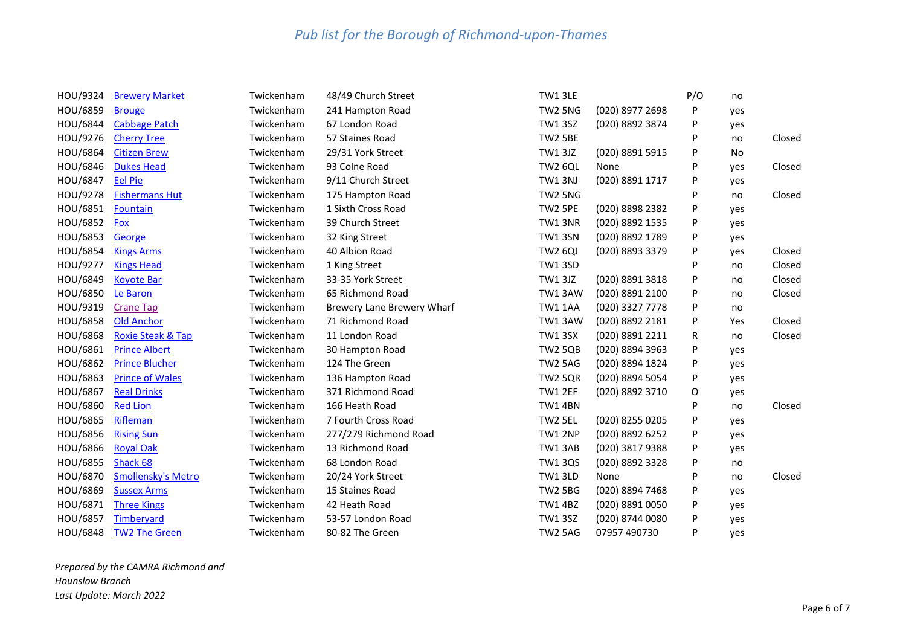| HOU/9324 | <b>Brewery Market</b>        | Twickenham | 48/49 Church Street        | TW1 3LE        |                 | P/O | no  |        |
|----------|------------------------------|------------|----------------------------|----------------|-----------------|-----|-----|--------|
| HOU/6859 | <b>Brouge</b>                | Twickenham | 241 Hampton Road           | TW2 5NG        | (020) 8977 2698 | P   | yes |        |
| HOU/6844 | <b>Cabbage Patch</b>         | Twickenham | 67 London Road             | <b>TW13SZ</b>  | (020) 8892 3874 | P   | yes |        |
| HOU/9276 | <b>Cherry Tree</b>           | Twickenham | 57 Staines Road            | <b>TW2 5BE</b> |                 | P   | no  | Closed |
| HOU/6864 | <b>Citizen Brew</b>          | Twickenham | 29/31 York Street          | TW1 3JZ        | (020) 8891 5915 | P   | No  |        |
| HOU/6846 | <b>Dukes Head</b>            | Twickenham | 93 Colne Road              | <b>TW2 6QL</b> | None            | P   | yes | Closed |
| HOU/6847 | <b>Eel Pie</b>               | Twickenham | 9/11 Church Street         | <b>TW1 3NJ</b> | (020) 8891 1717 | P   | yes |        |
| HOU/9278 | <b>Fishermans Hut</b>        | Twickenham | 175 Hampton Road           | TW2 5NG        |                 | P   | no  | Closed |
| HOU/6851 | Fountain                     | Twickenham | 1 Sixth Cross Road         | TW2 5PE        | (020) 8898 2382 | P   | yes |        |
| HOU/6852 | <b>Fox</b>                   | Twickenham | 39 Church Street           | TW1 3NR        | (020) 8892 1535 | P   | yes |        |
| HOU/6853 | George                       | Twickenham | 32 King Street             | <b>TW1 3SN</b> | (020) 8892 1789 | P   | yes |        |
| HOU/6854 | <b>Kings Arms</b>            | Twickenham | 40 Albion Road             | <b>TW2 6QJ</b> | (020) 8893 3379 | P   | yes | Closed |
| HOU/9277 | <b>Kings Head</b>            | Twickenham | 1 King Street              | <b>TW1 3SD</b> |                 | P   | no  | Closed |
| HOU/6849 | <b>Koyote Bar</b>            | Twickenham | 33-35 York Street          | TW1 3JZ        | (020) 8891 3818 | P   | no  | Closed |
| HOU/6850 | Le Baron                     | Twickenham | 65 Richmond Road           | TW13AW         | (020) 8891 2100 | P   | no  | Closed |
| HOU/9319 | <b>Crane Tap</b>             | Twickenham | Brewery Lane Brewery Wharf | <b>TW1 1AA</b> | (020) 3327 7778 | P   | no  |        |
| HOU/6858 | <b>Old Anchor</b>            | Twickenham | 71 Richmond Road           | TW13AW         | (020) 8892 2181 | P   | Yes | Closed |
| HOU/6868 | <b>Roxie Steak &amp; Tap</b> | Twickenham | 11 London Road             | <b>TW1 3SX</b> | (020) 8891 2211 | R   | no  | Closed |
| HOU/6861 | <b>Prince Albert</b>         | Twickenham | 30 Hampton Road            | <b>TW2 5QB</b> | (020) 8894 3963 | P   | yes |        |
| HOU/6862 | <b>Prince Blucher</b>        | Twickenham | 124 The Green              | <b>TW2 5AG</b> | (020) 8894 1824 | P   | yes |        |
| HOU/6863 | <b>Prince of Wales</b>       | Twickenham | 136 Hampton Road           | <b>TW2 5QR</b> | (020) 8894 5054 | P   | yes |        |
| HOU/6867 | <b>Real Drinks</b>           | Twickenham | 371 Richmond Road          | TW1 2EF        | (020) 8892 3710 | O   | yes |        |
| HOU/6860 | <b>Red Lion</b>              | Twickenham | 166 Heath Road             | <b>TW1 4BN</b> |                 | P   | no  | Closed |
| HOU/6865 | Rifleman                     | Twickenham | 7 Fourth Cross Road        | TW2 5EL        | (020) 8255 0205 | P   | yes |        |
| HOU/6856 | <b>Rising Sun</b>            | Twickenham | 277/279 Richmond Road      | TW1 2NP        | (020) 8892 6252 | P   | yes |        |
| HOU/6866 | <b>Royal Oak</b>             | Twickenham | 13 Richmond Road           | TW13AB         | (020) 3817 9388 | P   | yes |        |
| HOU/6855 | Shack 68                     | Twickenham | 68 London Road             | <b>TW1 3QS</b> | (020) 8892 3328 | P   | no  |        |
| HOU/6870 | <b>Smollensky's Metro</b>    | Twickenham | 20/24 York Street          | TW13LD         | None            | P   | no  | Closed |
| HOU/6869 | <b>Sussex Arms</b>           | Twickenham | 15 Staines Road            | <b>TW2 5BG</b> | (020) 8894 7468 | P   | yes |        |
| HOU/6871 | <b>Three Kings</b>           | Twickenham | 42 Heath Road              | <b>TW1 4BZ</b> | (020) 8891 0050 | P   | yes |        |
| HOU/6857 | Timberyard                   | Twickenham | 53-57 London Road          | <b>TW1 3SZ</b> | (020) 8744 0080 | P   | yes |        |
| HOU/6848 | <b>TW2 The Green</b>         | Twickenham | 80-82 The Green            | TW2 5AG        | 07957 490730    | P   | yes |        |